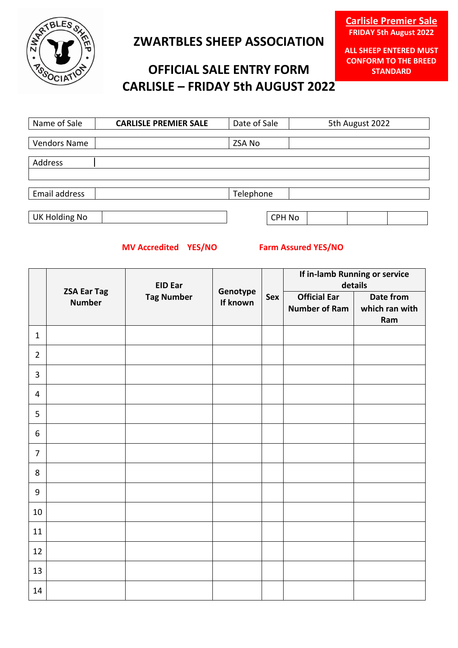

## **ZWARTBLES SHEEP ASSOCIATION**

# **OFFICIAL SALE ENTRY FORM CARLISLE – FRIDAY 5th AUGUST 2022**

**ALL SHEEP ENTERED MUST CONFORM TO THE BREED STANDARD**

| Name of Sale         | <b>CARLISLE PREMIER SALE</b> | Date of Sale  | 5th August 2022 |
|----------------------|------------------------------|---------------|-----------------|
|                      |                              |               |                 |
| <b>Vendors Name</b>  |                              | <b>ZSA No</b> |                 |
|                      |                              |               |                 |
| Address              |                              |               |                 |
|                      |                              |               |                 |
|                      |                              |               |                 |
| Email address        |                              | Telephone     |                 |
|                      |                              |               |                 |
| <b>UK Holding No</b> |                              | <b>CPH No</b> |                 |

### **MV Accredited YES/NO Farm Assured YES/NO**

|                |                                     | <b>EID Ear</b>    |                      | Sex | If in-lamb Running or service<br>details    |                                    |
|----------------|-------------------------------------|-------------------|----------------------|-----|---------------------------------------------|------------------------------------|
|                | <b>ZSA Ear Tag</b><br><b>Number</b> | <b>Tag Number</b> | Genotype<br>If known |     | <b>Official Ear</b><br><b>Number of Ram</b> | Date from<br>which ran with<br>Ram |
| $\mathbf{1}$   |                                     |                   |                      |     |                                             |                                    |
| $\overline{2}$ |                                     |                   |                      |     |                                             |                                    |
| $\overline{3}$ |                                     |                   |                      |     |                                             |                                    |
| $\overline{4}$ |                                     |                   |                      |     |                                             |                                    |
| 5              |                                     |                   |                      |     |                                             |                                    |
| $6\,$          |                                     |                   |                      |     |                                             |                                    |
| $\overline{7}$ |                                     |                   |                      |     |                                             |                                    |
| 8              |                                     |                   |                      |     |                                             |                                    |
| 9              |                                     |                   |                      |     |                                             |                                    |
| 10             |                                     |                   |                      |     |                                             |                                    |
| 11             |                                     |                   |                      |     |                                             |                                    |
| 12             |                                     |                   |                      |     |                                             |                                    |
| 13             |                                     |                   |                      |     |                                             |                                    |
| 14             |                                     |                   |                      |     |                                             |                                    |